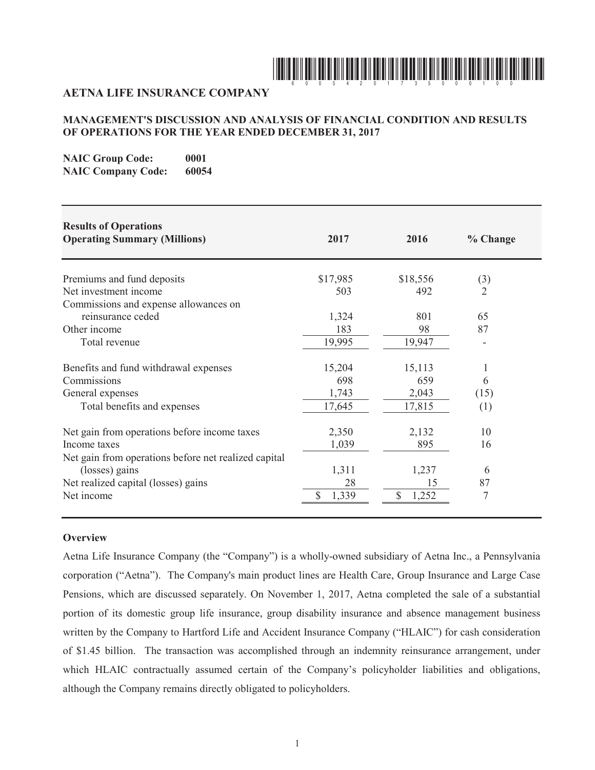

# **AETNA LIFE INSURANCE COMPANY**

# **MANAGEMENT'S DISCUSSION AND ANALYSIS OF FINANCIAL CONDITION AND RESULTS OF OPERATIONS FOR THE YEAR ENDED DECEMBER 31, 2017**

**NAIC Group Code:** 0001 **NAIC Company Code: 60054**

| <b>Results of Operations</b><br><b>Operating Summary (Millions)</b> | 2017        | 2016        | % Change       |
|---------------------------------------------------------------------|-------------|-------------|----------------|
| Premiums and fund deposits                                          | \$17,985    | \$18,556    | (3)            |
| Net investment income                                               | 503         | 492         | $\overline{2}$ |
| Commissions and expense allowances on                               |             |             |                |
| reinsurance ceded                                                   | 1,324       | 801         | 65             |
| Other income                                                        | 183         | 98          | 87             |
| Total revenue                                                       | 19,995      | 19,947      |                |
| Benefits and fund withdrawal expenses                               | 15,204      | 15,113      |                |
| Commissions                                                         | 698         | 659         | 6              |
| General expenses                                                    | 1,743       | 2,043       | (15)           |
| Total benefits and expenses                                         | 17,645      | 17,815      | (1)            |
| Net gain from operations before income taxes                        | 2,350       | 2,132       | 10             |
| Income taxes                                                        | 1,039       | 895         | 16             |
| Net gain from operations before net realized capital                |             |             |                |
| (losses) gains                                                      | 1,311       | 1,237       | 6              |
| Net realized capital (losses) gains                                 | 28          | 15          | 87             |
| Net income                                                          | \$<br>1,339 | \$<br>1,252 | 7              |

# **Overview**

Aetna Life Insurance Company (the "Company") is a wholly-owned subsidiary of Aetna Inc., a Pennsylvania corporation ("Aetna"). The Company's main product lines are Health Care, Group Insurance and Large Case Pensions, which are discussed separately. On November 1, 2017, Aetna completed the sale of a substantial portion of its domestic group life insurance, group disability insurance and absence management business written by the Company to Hartford Life and Accident Insurance Company ("HLAIC") for cash consideration of \$1.45 billion. The transaction was accomplished through an indemnity reinsurance arrangement, under which HLAIC contractually assumed certain of the Company's policyholder liabilities and obligations, although the Company remains directly obligated to policyholders.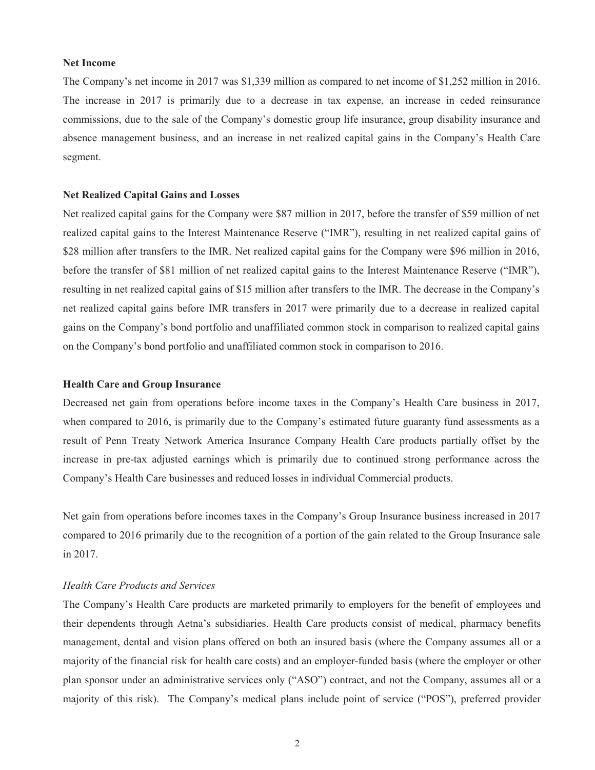#### **Net Income**

The Company's net income in 2017 was \$1,339 million as compared to net income of \$1,252 million in 2016. The increase in 2017 is primarily due to a decrease in tax expense, an increase in ceded reinsurance commissions, due to the sale of the Company's domestic group life insurance, group disability insurance and absence management business, and an increase in net realized capital gains in the Company's Health Care segment.

### **Net Realized Capital Gains and Losses**

Net realized capital gains for the Company were \$87 million in 2017, before the transfer of \$59 million of net realized capital gains to the Interest Maintenance Reserve ("IMR"), resulting in net realized capital gains of \$28 million after transfers to the IMR. Net realized capital gains for the Company were \$96 million in 2016, before the transfer of \$81 million of net realized capital gains to the Interest Maintenance Reserve ("IMR"), resulting in net realized capital gains of \$15 million after transfers to the IMR. The decrease in the Company's net realized capital gains before IMR transfers in 2017 were primarily due to a decrease in realized capital gains on the Company's bond portfolio and unaffiliated common stock in comparison to realized capital gains on the Company's bond portfolio and unaffiliated common stock in comparison to 2016.

# **Health Care and Group Insurance**

Decreased net gain from operations before income taxes in the Company's Health Care business in 2017, when compared to 2016, is primarily due to the Company's estimated future guaranty fund assessments as a result of Penn Treaty Network America Insurance Company Health Care products partially offset by the increase in pre-tax adjusted earnings which is primarily due to continued strong performance across the Company's Health Care businesses and reduced losses in individual Commercial products.

Net gain from operations before incomes taxes in the Company's Group Insurance business increased in 2017 compared to 2016 primarily due to the recognition of a portion of the gain related to the Group Insurance sale in 2017.

### *Health Care Products and Services*

The Company's Health Care products are marketed primarily to employers for the benefit of employees and their dependents through Aetna's subsidiaries. Health Care products consist of medical, pharmacy benefits management, dental and vision plans offered on both an insured basis (where the Company assumes all or a majority of the financial risk for health care costs) and an employer-funded basis (where the employer or other plan sponsor under an administrative services only ("ASO") contract, and not the Company, assumes all or a majority of this risk). The Company's medical plans include point of service ("POS"), preferred provider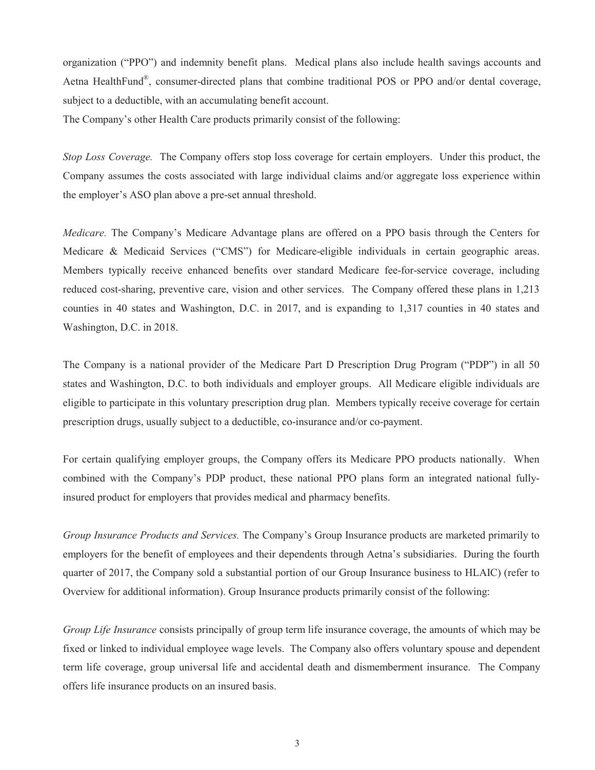organization ("PPO") and indemnity benefit plans. Medical plans also include health savings accounts and Aetna HealthFund®, consumer-directed plans that combine traditional POS or PPO and/or dental coverage, subject to a deductible, with an accumulating benefit account.

The Company's other Health Care products primarily consist of the following:

*Stop Loss Coverage.* The Company offers stop loss coverage for certain employers. Under this product, the Company assumes the costs associated with large individual claims and/or aggregate loss experience within the employer's ASO plan above a pre-set annual threshold.

*Medicare.* The Company's Medicare Advantage plans are offered on a PPO basis through the Centers for Medicare & Medicaid Services ("CMS") for Medicare-eligible individuals in certain geographic areas. Members typically receive enhanced benefits over standard Medicare fee-for-service coverage, including reduced cost-sharing, preventive care, vision and other services. The Company offered these plans in 1,213 counties in 40 states and Washington, D.C. in 2017, and is expanding to 1,317 counties in 40 states and Washington, D.C. in 2018.

The Company is a national provider of the Medicare Part D Prescription Drug Program ("PDP") in all 50 states and Washington, D.C. to both individuals and employer groups. All Medicare eligible individuals are eligible to participate in this voluntary prescription drug plan. Members typically receive coverage for certain prescription drugs, usually subject to a deductible, co-insurance and/or co-payment.

For certain qualifying employer groups, the Company offers its Medicare PPO products nationally. When combined with the Company's PDP product, these national PPO plans form an integrated national fullyinsured product for employers that provides medical and pharmacy benefits.

*Group Insurance Products and Services.* The Company's Group Insurance products are marketed primarily to employers for the benefit of employees and their dependents through Aetna's subsidiaries. During the fourth quarter of 2017, the Company sold a substantial portion of our Group Insurance business to HLAIC) (refer to Overview for additional information). Group Insurance products primarily consist of the following:

*Group Life Insurance* consists principally of group term life insurance coverage, the amounts of which may be fixed or linked to individual employee wage levels. The Company also offers voluntary spouse and dependent term life coverage, group universal life and accidental death and dismemberment insurance. The Company offers life insurance products on an insured basis.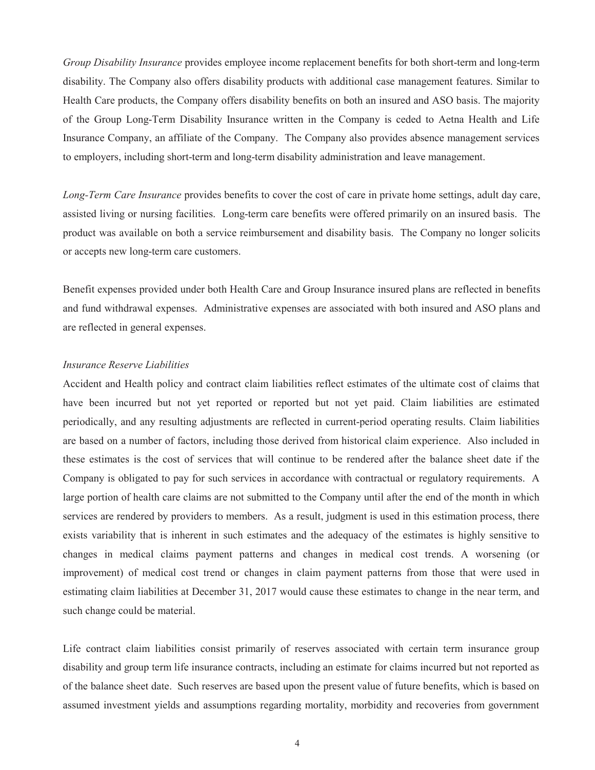*Group Disability Insurance* provides employee income replacement benefits for both short-term and long-term disability. The Company also offers disability products with additional case management features. Similar to Health Care products, the Company offers disability benefits on both an insured and ASO basis. The majority of the Group Long-Term Disability Insurance written in the Company is ceded to Aetna Health and Life Insurance Company, an affiliate of the Company. The Company also provides absence management services to employers, including short-term and long-term disability administration and leave management.

*Long-Term Care Insurance* provides benefits to cover the cost of care in private home settings, adult day care, assisted living or nursing facilities. Long-term care benefits were offered primarily on an insured basis. The product was available on both a service reimbursement and disability basis. The Company no longer solicits or accepts new long-term care customers.

Benefit expenses provided under both Health Care and Group Insurance insured plans are reflected in benefits and fund withdrawal expenses. Administrative expenses are associated with both insured and ASO plans and are reflected in general expenses.

#### *Insurance Reserve Liabilities*

Accident and Health policy and contract claim liabilities reflect estimates of the ultimate cost of claims that have been incurred but not yet reported or reported but not yet paid. Claim liabilities are estimated periodically, and any resulting adjustments are reflected in current-period operating results. Claim liabilities are based on a number of factors, including those derived from historical claim experience. Also included in these estimates is the cost of services that will continue to be rendered after the balance sheet date if the Company is obligated to pay for such services in accordance with contractual or regulatory requirements. A large portion of health care claims are not submitted to the Company until after the end of the month in which services are rendered by providers to members. As a result, judgment is used in this estimation process, there exists variability that is inherent in such estimates and the adequacy of the estimates is highly sensitive to changes in medical claims payment patterns and changes in medical cost trends. A worsening (or improvement) of medical cost trend or changes in claim payment patterns from those that were used in estimating claim liabilities at December 31, 2017 would cause these estimates to change in the near term, and such change could be material.

Life contract claim liabilities consist primarily of reserves associated with certain term insurance group disability and group term life insurance contracts, including an estimate for claims incurred but not reported as of the balance sheet date. Such reserves are based upon the present value of future benefits, which is based on assumed investment yields and assumptions regarding mortality, morbidity and recoveries from government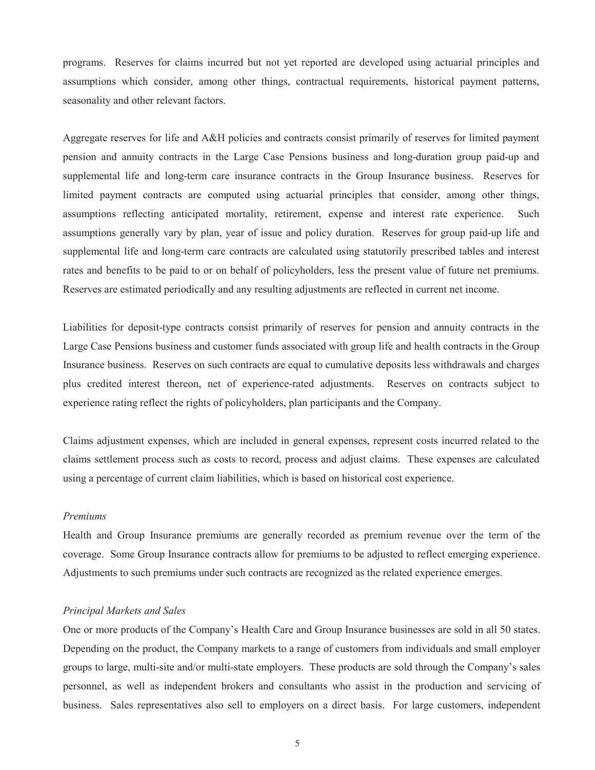programs. Reserves for claims incurred but not yet reported are developed using actuarial principles and assumptions which consider, among other things, contractual requirements, historical payment patterns, seasonality and other relevant factors.

Aggregate reserves for life and A&H policies and contracts consist primarily of reserves for limited payment pension and annuity contracts in the Large Case Pensions business and long-duration group paid-up and supplemental life and long-term care insurance contracts in the Group Insurance business. Reserves for limited payment contracts are computed using actuarial principles that consider, among other things, assumptions reflecting anticipated mortality, retirement, expense and interest rate experience. Such assumptions generally vary by plan, year of issue and policy duration. Reserves for group paid-up life and supplemental life and long-term care contracts are calculated using statutorily prescribed tables and interest rates and benefits to be paid to or on behalf of policyholders, less the present value of future net premiums. Reserves are estimated periodically and any resulting adjustments are reflected in current net income.

Liabilities for deposit-type contracts consist primarily of reserves for pension and annuity contracts in the Large Case Pensions business and customer funds associated with group life and health contracts in the Group Insurance business. Reserves on such contracts are equal to cumulative deposits less withdrawals and charges plus credited interest thereon, net of experience-rated adjustments. Reserves on contracts subject to experience rating reflect the rights of policyholders, plan participants and the Company.

Claims adjustment expenses, which are included in general expenses, represent costs incurred related to the claims settlement process such as costs to record, process and adjust claims. These expenses are calculated using a percentage of current claim liabilities, which is based on historical cost experience.

#### *Premiums*

Health and Group Insurance premiums are generally recorded as premium revenue over the term of the coverage. Some Group Insurance contracts allow for premiums to be adjusted to reflect emerging experience. Adjustments to such premiums under such contracts are recognized as the related experience emerges.

### *Principal Markets and Sales*

One or more products of the Company's Health Care and Group Insurance businesses are sold in all 50 states. Depending on the product, the Company markets to a range of customers from individuals and small employer groups to large, multi-site and/or multi-state employers. These products are sold through the Company's sales personnel, as well as independent brokers and consultants who assist in the production and servicing of business. Sales representatives also sell to employers on a direct basis. For large customers, independent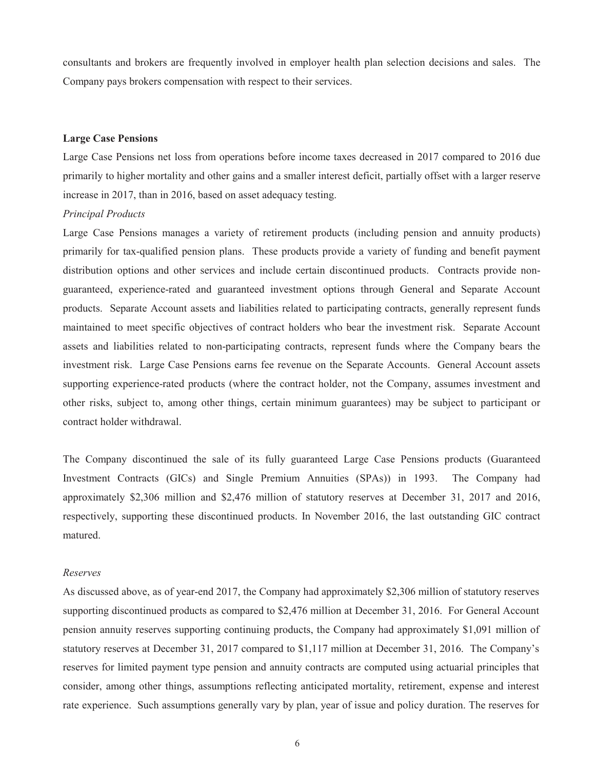consultants and brokers are frequently involved in employer health plan selection decisions and sales. The Company pays brokers compensation with respect to their services.

## **Large Case Pensions**

Large Case Pensions net loss from operations before income taxes decreased in 2017 compared to 2016 due primarily to higher mortality and other gains and a smaller interest deficit, partially offset with a larger reserve increase in 2017, than in 2016, based on asset adequacy testing.

# *Principal Products*

Large Case Pensions manages a variety of retirement products (including pension and annuity products) primarily for tax-qualified pension plans. These products provide a variety of funding and benefit payment distribution options and other services and include certain discontinued products. Contracts provide nonguaranteed, experience-rated and guaranteed investment options through General and Separate Account products. Separate Account assets and liabilities related to participating contracts, generally represent funds maintained to meet specific objectives of contract holders who bear the investment risk. Separate Account assets and liabilities related to non-participating contracts, represent funds where the Company bears the investment risk. Large Case Pensions earns fee revenue on the Separate Accounts. General Account assets supporting experience-rated products (where the contract holder, not the Company, assumes investment and other risks, subject to, among other things, certain minimum guarantees) may be subject to participant or contract holder withdrawal.

The Company discontinued the sale of its fully guaranteed Large Case Pensions products (Guaranteed Investment Contracts (GICs) and Single Premium Annuities (SPAs)) in 1993. The Company had approximately \$2,306 million and \$2,476 million of statutory reserves at December 31, 2017 and 2016, respectively, supporting these discontinued products. In November 2016, the last outstanding GIC contract matured.

#### *Reserves*

As discussed above, as of year-end 2017, the Company had approximately \$2,306 million of statutory reserves supporting discontinued products as compared to \$2,476 million at December 31, 2016. For General Account pension annuity reserves supporting continuing products, the Company had approximately \$1,091 million of statutory reserves at December 31, 2017 compared to \$1,117 million at December 31, 2016. The Company's reserves for limited payment type pension and annuity contracts are computed using actuarial principles that consider, among other things, assumptions reflecting anticipated mortality, retirement, expense and interest rate experience. Such assumptions generally vary by plan, year of issue and policy duration. The reserves for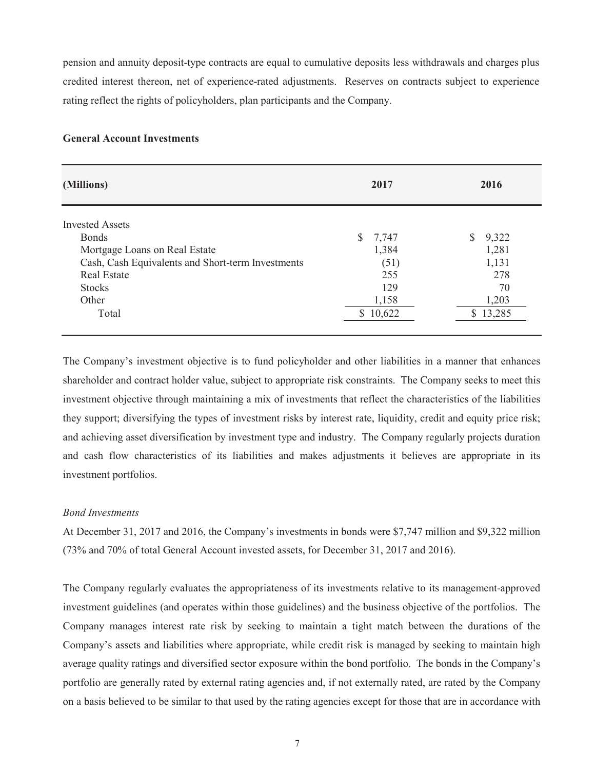pension and annuity deposit-type contracts are equal to cumulative deposits less withdrawals and charges plus credited interest thereon, net of experience-rated adjustments. Reserves on contracts subject to experience rating reflect the rights of policyholders, plan participants and the Company.

# **General Account Investments**

| (Millions)                                        | 2017        | 2016        |
|---------------------------------------------------|-------------|-------------|
| <b>Invested Assets</b>                            |             |             |
| <b>Bonds</b>                                      | \$<br>7,747 | 9,322<br>S. |
| Mortgage Loans on Real Estate                     | 1,384       | 1,281       |
| Cash, Cash Equivalents and Short-term Investments | (51)        | 1,131       |
| <b>Real Estate</b>                                | 255         | 278         |
| <b>Stocks</b>                                     | 129         | 70          |
| Other                                             | 1,158       | 1,203       |
| Total                                             | 10,622      | 13,285      |

The Company's investment objective is to fund policyholder and other liabilities in a manner that enhances shareholder and contract holder value, subject to appropriate risk constraints. The Company seeks to meet this investment objective through maintaining a mix of investments that reflect the characteristics of the liabilities they support; diversifying the types of investment risks by interest rate, liquidity, credit and equity price risk; and achieving asset diversification by investment type and industry. The Company regularly projects duration and cash flow characteristics of its liabilities and makes adjustments it believes are appropriate in its investment portfolios.

### *Bond Investments*

At December 31, 2017 and 2016, the Company's investments in bonds were \$7,747 million and \$9,322 million (73% and 70% of total General Account invested assets, for December 31, 2017 and 2016).

The Company regularly evaluates the appropriateness of its investments relative to its management-approved investment guidelines (and operates within those guidelines) and the business objective of the portfolios. The Company manages interest rate risk by seeking to maintain a tight match between the durations of the Company's assets and liabilities where appropriate, while credit risk is managed by seeking to maintain high average quality ratings and diversified sector exposure within the bond portfolio. The bonds in the Company's portfolio are generally rated by external rating agencies and, if not externally rated, are rated by the Company on a basis believed to be similar to that used by the rating agencies except for those that are in accordance with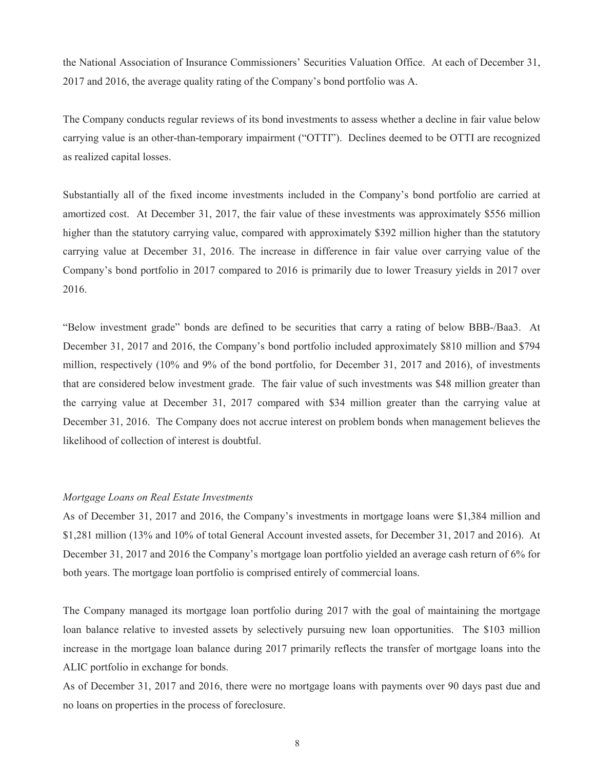the National Association of Insurance Commissioners' Securities Valuation Office. At each of December 31, 2017 and 2016, the average quality rating of the Company's bond portfolio was A.

The Company conducts regular reviews of its bond investments to assess whether a decline in fair value below carrying value is an other-than-temporary impairment ("OTTI"). Declines deemed to be OTTI are recognized as realized capital losses.

Substantially all of the fixed income investments included in the Company's bond portfolio are carried at amortized cost. At December 31, 2017, the fair value of these investments was approximately \$556 million higher than the statutory carrying value, compared with approximately \$392 million higher than the statutory carrying value at December 31, 2016. The increase in difference in fair value over carrying value of the Company's bond portfolio in 2017 compared to 2016 is primarily due to lower Treasury yields in 2017 over 2016.

"Below investment grade" bonds are defined to be securities that carry a rating of below BBB-/Baa3. At December 31, 2017 and 2016, the Company's bond portfolio included approximately \$810 million and \$794 million, respectively (10% and 9% of the bond portfolio, for December 31, 2017 and 2016), of investments that are considered below investment grade. The fair value of such investments was \$48 million greater than the carrying value at December 31, 2017 compared with \$34 million greater than the carrying value at December 31, 2016. The Company does not accrue interest on problem bonds when management believes the likelihood of collection of interest is doubtful.

# *Mortgage Loans on Real Estate Investments*

As of December 31, 2017 and 2016, the Company's investments in mortgage loans were \$1,384 million and \$1,281 million (13% and 10% of total General Account invested assets, for December 31, 2017 and 2016). At December 31, 2017 and 2016 the Company's mortgage loan portfolio yielded an average cash return of 6% for both years. The mortgage loan portfolio is comprised entirely of commercial loans.

The Company managed its mortgage loan portfolio during 2017 with the goal of maintaining the mortgage loan balance relative to invested assets by selectively pursuing new loan opportunities. The \$103 million increase in the mortgage loan balance during 2017 primarily reflects the transfer of mortgage loans into the ALIC portfolio in exchange for bonds.

As of December 31, 2017 and 2016, there were no mortgage loans with payments over 90 days past due and no loans on properties in the process of foreclosure.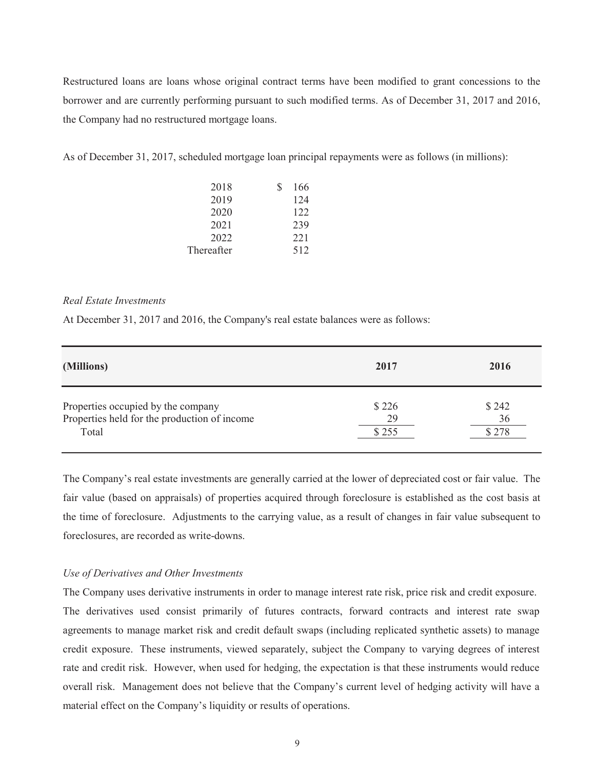Restructured loans are loans whose original contract terms have been modified to grant concessions to the borrower and are currently performing pursuant to such modified terms. As of December 31, 2017 and 2016, the Company had no restructured mortgage loans.

As of December 31, 2017, scheduled mortgage loan principal repayments were as follows (in millions):

| 2018       | 166 |
|------------|-----|
| 2019       | 124 |
| 2020       | 122 |
| 2021       | 239 |
| 2022       | 221 |
| Thereafter | 512 |

## *Real Estate Investments*

At December 31, 2017 and 2016, the Company's real estate balances were as follows:

| (Millions)                                   | 2017  | 2016   |
|----------------------------------------------|-------|--------|
| Properties occupied by the company           | \$226 | \$242  |
| Properties held for the production of income | 29    | 36     |
| Total                                        | \$255 | \$ 278 |

The Company's real estate investments are generally carried at the lower of depreciated cost or fair value. The fair value (based on appraisals) of properties acquired through foreclosure is established as the cost basis at the time of foreclosure. Adjustments to the carrying value, as a result of changes in fair value subsequent to foreclosures, are recorded as write-downs.

## *Use of Derivatives and Other Investments*

The Company uses derivative instruments in order to manage interest rate risk, price risk and credit exposure. The derivatives used consist primarily of futures contracts, forward contracts and interest rate swap agreements to manage market risk and credit default swaps (including replicated synthetic assets) to manage credit exposure. These instruments, viewed separately, subject the Company to varying degrees of interest rate and credit risk. However, when used for hedging, the expectation is that these instruments would reduce overall risk. Management does not believe that the Company's current level of hedging activity will have a material effect on the Company's liquidity or results of operations.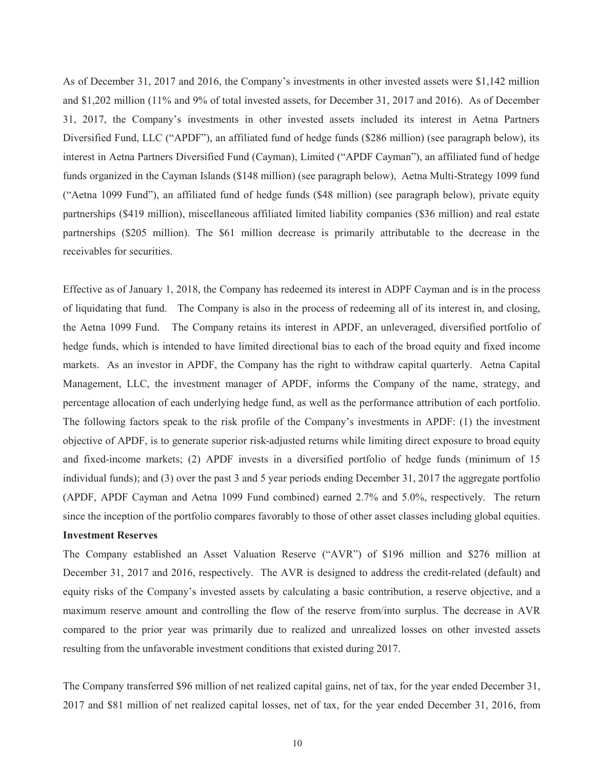As of December 31, 2017 and 2016, the Company's investments in other invested assets were \$1,142 million and \$1,202 million (11% and 9% of total invested assets, for December 31, 2017 and 2016). As of December 31, 2017, the Company's investments in other invested assets included its interest in Aetna Partners Diversified Fund, LLC ("APDF"), an affiliated fund of hedge funds (\$286 million) (see paragraph below), its interest in Aetna Partners Diversified Fund (Cayman), Limited ("APDF Cayman"), an affiliated fund of hedge funds organized in the Cayman Islands (\$148 million) (see paragraph below), Aetna Multi-Strategy 1099 fund ("Aetna 1099 Fund"), an affiliated fund of hedge funds (\$48 million) (see paragraph below), private equity partnerships (\$419 million), miscellaneous affiliated limited liability companies (\$36 million) and real estate partnerships (\$205 million). The \$61 million decrease is primarily attributable to the decrease in the receivables for securities.

Effective as of January 1, 2018, the Company has redeemed its interest in ADPF Cayman and is in the process of liquidating that fund. The Company is also in the process of redeeming all of its interest in, and closing, the Aetna 1099 Fund. The Company retains its interest in APDF, an unleveraged, diversified portfolio of hedge funds, which is intended to have limited directional bias to each of the broad equity and fixed income markets. As an investor in APDF, the Company has the right to withdraw capital quarterly. Aetna Capital Management, LLC, the investment manager of APDF, informs the Company of the name, strategy, and percentage allocation of each underlying hedge fund, as well as the performance attribution of each portfolio. The following factors speak to the risk profile of the Company's investments in APDF: (1) the investment objective of APDF, is to generate superior risk-adjusted returns while limiting direct exposure to broad equity and fixed-income markets; (2) APDF invests in a diversified portfolio of hedge funds (minimum of 15 individual funds); and (3) over the past 3 and 5 year periods ending December 31, 2017 the aggregate portfolio (APDF, APDF Cayman and Aetna 1099 Fund combined) earned 2.7% and 5.0%, respectively. The return since the inception of the portfolio compares favorably to those of other asset classes including global equities.

# **Investment Reserves**

The Company established an Asset Valuation Reserve ("AVR") of \$196 million and \$276 million at December 31, 2017 and 2016, respectively. The AVR is designed to address the credit-related (default) and equity risks of the Company's invested assets by calculating a basic contribution, a reserve objective, and a maximum reserve amount and controlling the flow of the reserve from/into surplus. The decrease in AVR compared to the prior year was primarily due to realized and unrealized losses on other invested assets resulting from the unfavorable investment conditions that existed during 2017.

The Company transferred \$96 million of net realized capital gains, net of tax, for the year ended December 31, 2017 and \$81 million of net realized capital losses, net of tax, for the year ended December 31, 2016, from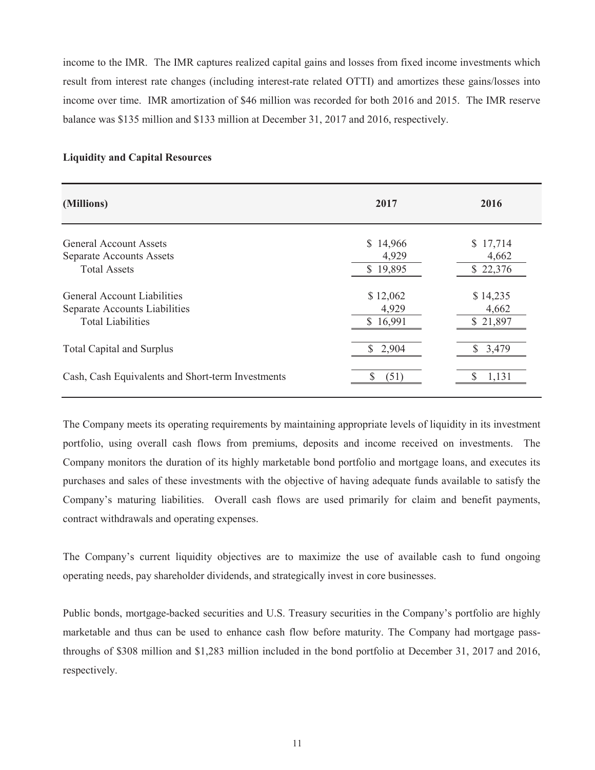income to the IMR. The IMR captures realized capital gains and losses from fixed income investments which result from interest rate changes (including interest-rate related OTTI) and amortizes these gains/losses into income over time. IMR amortization of \$46 million was recorded for both 2016 and 2015. The IMR reserve balance was \$135 million and \$133 million at December 31, 2017 and 2016, respectively.

## **Liquidity and Capital Resources**

| (Millions)                                                                                      | 2017                          | 2016                          |
|-------------------------------------------------------------------------------------------------|-------------------------------|-------------------------------|
| General Account Assets<br><b>Separate Accounts Assets</b>                                       | \$14,966<br>4,929             | \$17,714<br>4,662             |
| <b>Total Assets</b>                                                                             | \$19,895                      | \$22,376                      |
| <b>General Account Liabilities</b><br>Separate Accounts Liabilities<br><b>Total Liabilities</b> | \$12,062<br>4,929<br>\$16,991 | \$14,235<br>4,662<br>\$21,897 |
| <b>Total Capital and Surplus</b>                                                                | \$2,904                       | 3,479                         |
| Cash, Cash Equivalents and Short-term Investments                                               | S<br>(51)                     | 1,131                         |

The Company meets its operating requirements by maintaining appropriate levels of liquidity in its investment portfolio, using overall cash flows from premiums, deposits and income received on investments. The Company monitors the duration of its highly marketable bond portfolio and mortgage loans, and executes its purchases and sales of these investments with the objective of having adequate funds available to satisfy the Company's maturing liabilities. Overall cash flows are used primarily for claim and benefit payments, contract withdrawals and operating expenses.

The Company's current liquidity objectives are to maximize the use of available cash to fund ongoing operating needs, pay shareholder dividends, and strategically invest in core businesses.

Public bonds, mortgage-backed securities and U.S. Treasury securities in the Company's portfolio are highly marketable and thus can be used to enhance cash flow before maturity. The Company had mortgage passthroughs of \$308 million and \$1,283 million included in the bond portfolio at December 31, 2017 and 2016, respectively.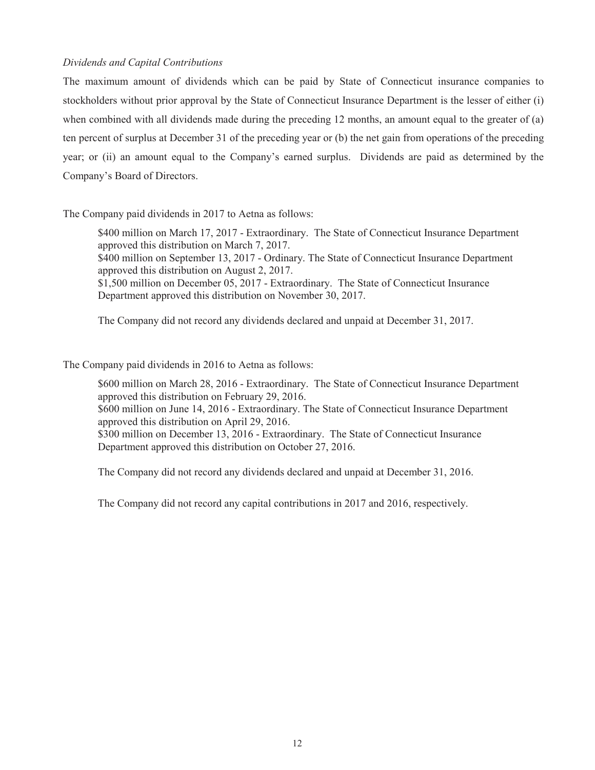# *Dividends and Capital Contributions*

The maximum amount of dividends which can be paid by State of Connecticut insurance companies to stockholders without prior approval by the State of Connecticut Insurance Department is the lesser of either (i) when combined with all dividends made during the preceding 12 months, an amount equal to the greater of (a) ten percent of surplus at December 31 of the preceding year or (b) the net gain from operations of the preceding year; or (ii) an amount equal to the Company's earned surplus. Dividends are paid as determined by the Company's Board of Directors.

# The Company paid dividends in 2017 to Aetna as follows:

\$400 million on March 17, 2017 - Extraordinary. The State of Connecticut Insurance Department approved this distribution on March 7, 2017. \$400 million on September 13, 2017 - Ordinary. The State of Connecticut Insurance Department approved this distribution on August 2, 2017. \$1,500 million on December 05, 2017 - Extraordinary. The State of Connecticut Insurance

Department approved this distribution on November 30, 2017.

The Company did not record any dividends declared and unpaid at December 31, 2017.

The Company paid dividends in 2016 to Aetna as follows:

\$600 million on March 28, 2016 - Extraordinary. The State of Connecticut Insurance Department approved this distribution on February 29, 2016.

\$600 million on June 14, 2016 - Extraordinary. The State of Connecticut Insurance Department approved this distribution on April 29, 2016.

\$300 million on December 13, 2016 - Extraordinary. The State of Connecticut Insurance Department approved this distribution on October 27, 2016.

The Company did not record any dividends declared and unpaid at December 31, 2016.

The Company did not record any capital contributions in 2017 and 2016, respectively.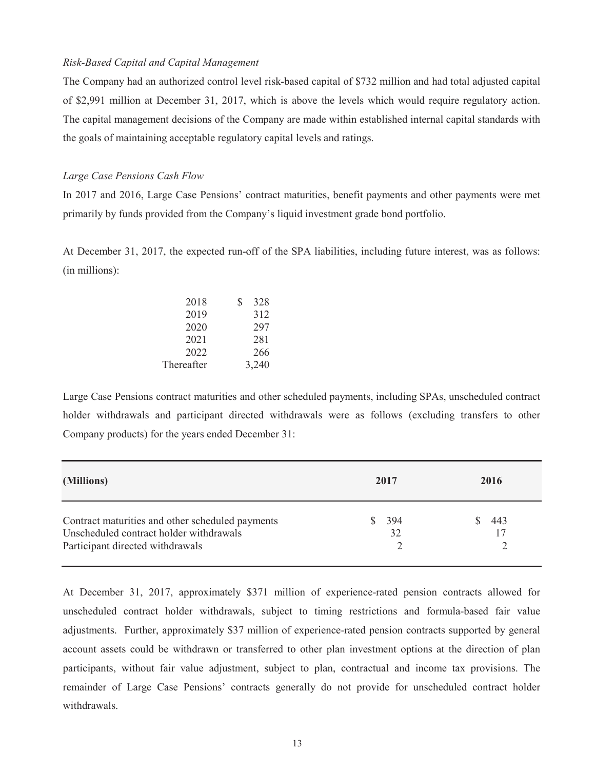### *Risk-Based Capital and Capital Management*

The Company had an authorized control level risk-based capital of \$732 million and had total adjusted capital of \$2,991 million at December 31, 2017, which is above the levels which would require regulatory action. The capital management decisions of the Company are made within established internal capital standards with the goals of maintaining acceptable regulatory capital levels and ratings.

# *Large Case Pensions Cash Flow*

In 2017 and 2016, Large Case Pensions' contract maturities, benefit payments and other payments were met primarily by funds provided from the Company's liquid investment grade bond portfolio.

At December 31, 2017, the expected run-off of the SPA liabilities, including future interest, was as follows: (in millions):

| 2018       | S | 328   |
|------------|---|-------|
| 2019       |   | 312   |
| 2020       |   | 297   |
| 2021       |   | 281   |
| 2022       |   | 266   |
| Thereafter |   | 3,240 |
|            |   |       |

Large Case Pensions contract maturities and other scheduled payments, including SPAs, unscheduled contract holder withdrawals and participant directed withdrawals were as follows (excluding transfers to other Company products) for the years ended December 31:

| (Millions)                                                                                                                      | 2017      | 2016      |
|---------------------------------------------------------------------------------------------------------------------------------|-----------|-----------|
| Contract maturities and other scheduled payments<br>Unscheduled contract holder withdrawals<br>Participant directed withdrawals | 394<br>32 | 443<br>17 |

At December 31, 2017, approximately \$371 million of experience-rated pension contracts allowed for unscheduled contract holder withdrawals, subject to timing restrictions and formula-based fair value adjustments. Further, approximately \$37 million of experience-rated pension contracts supported by general account assets could be withdrawn or transferred to other plan investment options at the direction of plan participants, without fair value adjustment, subject to plan, contractual and income tax provisions. The remainder of Large Case Pensions' contracts generally do not provide for unscheduled contract holder withdrawals.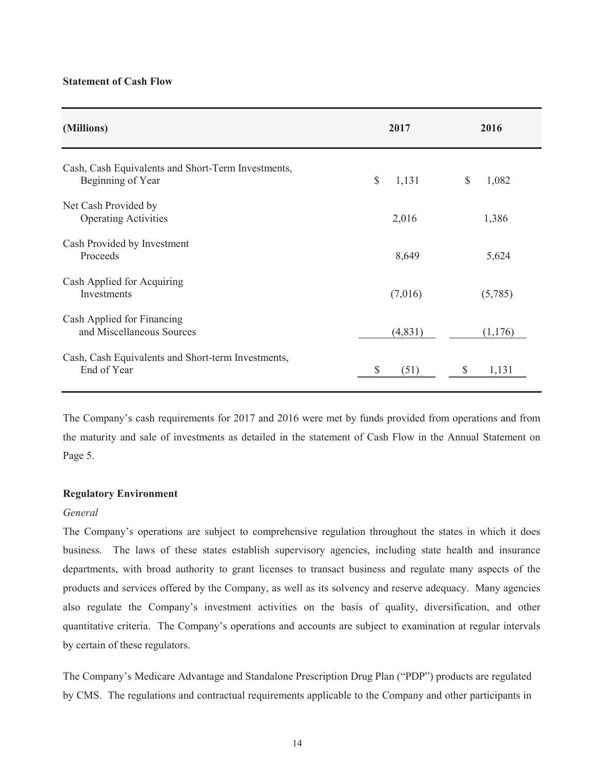### **Statement of Cash Flow**

| (Millions)                                                              | 2017                  | 2016        |
|-------------------------------------------------------------------------|-----------------------|-------------|
| Cash, Cash Equivalents and Short-Term Investments,<br>Beginning of Year | $\mathbb{S}$<br>1,131 | \$<br>1,082 |
| Net Cash Provided by<br><b>Operating Activities</b>                     | 2,016                 | 1,386       |
| Cash Provided by Investment<br>Proceeds                                 | 8,649                 | 5,624       |
| Cash Applied for Acquiring<br>Investments                               | (7,016)               | (5,785)     |
| Cash Applied for Financing<br>and Miscellaneous Sources                 | (4,831)               | (1, 176)    |
| Cash, Cash Equivalents and Short-term Investments,<br>End of Year       | (51)<br>S             | 1,131<br>S  |

The Company's cash requirements for 2017 and 2016 were met by funds provided from operations and from the maturity and sale of investments as detailed in the statement of Cash Flow in the Annual Statement on Page 5.

# **Regulatory Environment**

## *General*

The Company's operations are subject to comprehensive regulation throughout the states in which it does business. The laws of these states establish supervisory agencies, including state health and insurance departments, with broad authority to grant licenses to transact business and regulate many aspects of the products and services offered by the Company, as well as its solvency and reserve adequacy. Many agencies also regulate the Company's investment activities on the basis of quality, diversification, and other quantitative criteria. The Company's operations and accounts are subject to examination at regular intervals by certain of these regulators.

The Company's Medicare Advantage and Standalone Prescription Drug Plan ("PDP") products are regulated by CMS. The regulations and contractual requirements applicable to the Company and other participants in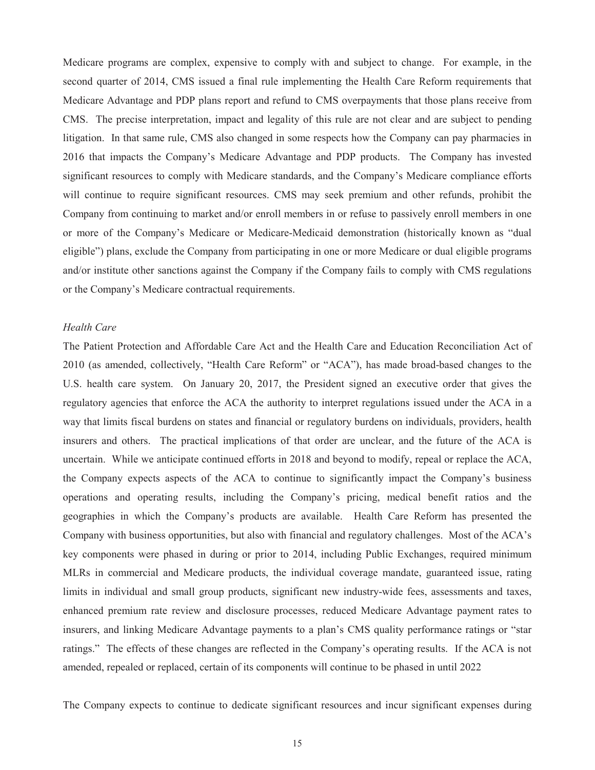Medicare programs are complex, expensive to comply with and subject to change. For example, in the second quarter of 2014, CMS issued a final rule implementing the Health Care Reform requirements that Medicare Advantage and PDP plans report and refund to CMS overpayments that those plans receive from CMS. The precise interpretation, impact and legality of this rule are not clear and are subject to pending litigation. In that same rule, CMS also changed in some respects how the Company can pay pharmacies in 2016 that impacts the Company's Medicare Advantage and PDP products. The Company has invested significant resources to comply with Medicare standards, and the Company's Medicare compliance efforts will continue to require significant resources. CMS may seek premium and other refunds, prohibit the Company from continuing to market and/or enroll members in or refuse to passively enroll members in one or more of the Company's Medicare or Medicare-Medicaid demonstration (historically known as "dual eligible") plans, exclude the Company from participating in one or more Medicare or dual eligible programs and/or institute other sanctions against the Company if the Company fails to comply with CMS regulations or the Company's Medicare contractual requirements.

# *Health Care*

The Patient Protection and Affordable Care Act and the Health Care and Education Reconciliation Act of 2010 (as amended, collectively, "Health Care Reform" or "ACA"), has made broad-based changes to the U.S. health care system. On January 20, 2017, the President signed an executive order that gives the regulatory agencies that enforce the ACA the authority to interpret regulations issued under the ACA in a way that limits fiscal burdens on states and financial or regulatory burdens on individuals, providers, health insurers and others. The practical implications of that order are unclear, and the future of the ACA is uncertain. While we anticipate continued efforts in 2018 and beyond to modify, repeal or replace the ACA, the Company expects aspects of the ACA to continue to significantly impact the Company's business operations and operating results, including the Company's pricing, medical benefit ratios and the geographies in which the Company's products are available. Health Care Reform has presented the Company with business opportunities, but also with financial and regulatory challenges. Most of the ACA's key components were phased in during or prior to 2014, including Public Exchanges, required minimum MLRs in commercial and Medicare products, the individual coverage mandate, guaranteed issue, rating limits in individual and small group products, significant new industry-wide fees, assessments and taxes, enhanced premium rate review and disclosure processes, reduced Medicare Advantage payment rates to insurers, and linking Medicare Advantage payments to a plan's CMS quality performance ratings or "star ratings." The effects of these changes are reflected in the Company's operating results. If the ACA is not amended, repealed or replaced, certain of its components will continue to be phased in until 2022

The Company expects to continue to dedicate significant resources and incur significant expenses during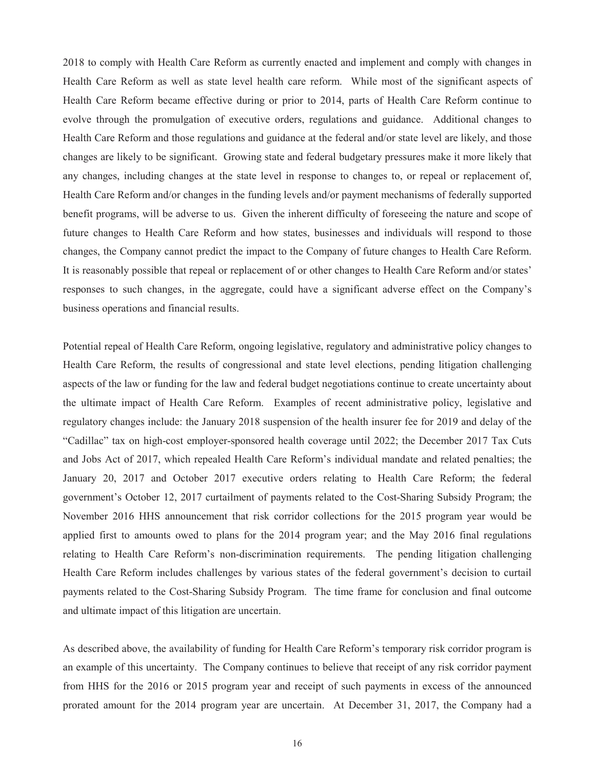2018 to comply with Health Care Reform as currently enacted and implement and comply with changes in Health Care Reform as well as state level health care reform. While most of the significant aspects of Health Care Reform became effective during or prior to 2014, parts of Health Care Reform continue to evolve through the promulgation of executive orders, regulations and guidance. Additional changes to Health Care Reform and those regulations and guidance at the federal and/or state level are likely, and those changes are likely to be significant. Growing state and federal budgetary pressures make it more likely that any changes, including changes at the state level in response to changes to, or repeal or replacement of, Health Care Reform and/or changes in the funding levels and/or payment mechanisms of federally supported benefit programs, will be adverse to us. Given the inherent difficulty of foreseeing the nature and scope of future changes to Health Care Reform and how states, businesses and individuals will respond to those changes, the Company cannot predict the impact to the Company of future changes to Health Care Reform. It is reasonably possible that repeal or replacement of or other changes to Health Care Reform and/or states' responses to such changes, in the aggregate, could have a significant adverse effect on the Company's business operations and financial results.

Potential repeal of Health Care Reform, ongoing legislative, regulatory and administrative policy changes to Health Care Reform, the results of congressional and state level elections, pending litigation challenging aspects of the law or funding for the law and federal budget negotiations continue to create uncertainty about the ultimate impact of Health Care Reform. Examples of recent administrative policy, legislative and regulatory changes include: the January 2018 suspension of the health insurer fee for 2019 and delay of the "Cadillac" tax on high-cost employer-sponsored health coverage until 2022; the December 2017 Tax Cuts and Jobs Act of 2017, which repealed Health Care Reform's individual mandate and related penalties; the January 20, 2017 and October 2017 executive orders relating to Health Care Reform; the federal government's October 12, 2017 curtailment of payments related to the Cost-Sharing Subsidy Program; the November 2016 HHS announcement that risk corridor collections for the 2015 program year would be applied first to amounts owed to plans for the 2014 program year; and the May 2016 final regulations relating to Health Care Reform's non-discrimination requirements. The pending litigation challenging Health Care Reform includes challenges by various states of the federal government's decision to curtail payments related to the Cost-Sharing Subsidy Program. The time frame for conclusion and final outcome and ultimate impact of this litigation are uncertain.

As described above, the availability of funding for Health Care Reform's temporary risk corridor program is an example of this uncertainty. The Company continues to believe that receipt of any risk corridor payment from HHS for the 2016 or 2015 program year and receipt of such payments in excess of the announced prorated amount for the 2014 program year are uncertain. At December 31, 2017, the Company had a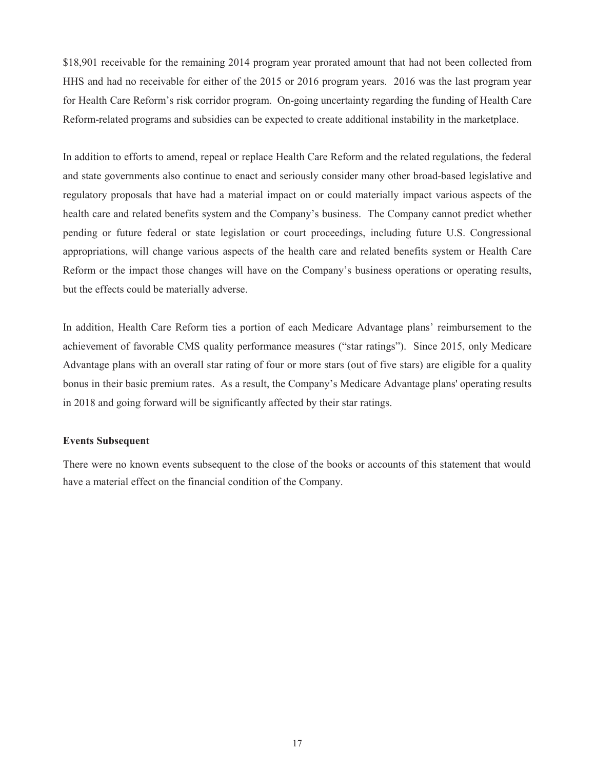\$18,901 receivable for the remaining 2014 program year prorated amount that had not been collected from HHS and had no receivable for either of the 2015 or 2016 program years. 2016 was the last program year for Health Care Reform's risk corridor program. On-going uncertainty regarding the funding of Health Care Reform-related programs and subsidies can be expected to create additional instability in the marketplace.

In addition to efforts to amend, repeal or replace Health Care Reform and the related regulations, the federal and state governments also continue to enact and seriously consider many other broad-based legislative and regulatory proposals that have had a material impact on or could materially impact various aspects of the health care and related benefits system and the Company's business. The Company cannot predict whether pending or future federal or state legislation or court proceedings, including future U.S. Congressional appropriations, will change various aspects of the health care and related benefits system or Health Care Reform or the impact those changes will have on the Company's business operations or operating results, but the effects could be materially adverse.

In addition, Health Care Reform ties a portion of each Medicare Advantage plans' reimbursement to the achievement of favorable CMS quality performance measures ("star ratings"). Since 2015, only Medicare Advantage plans with an overall star rating of four or more stars (out of five stars) are eligible for a quality bonus in their basic premium rates. As a result, the Company's Medicare Advantage plans' operating results in 2018 and going forward will be significantly affected by their star ratings.

### **Events Subsequent**

There were no known events subsequent to the close of the books or accounts of this statement that would have a material effect on the financial condition of the Company.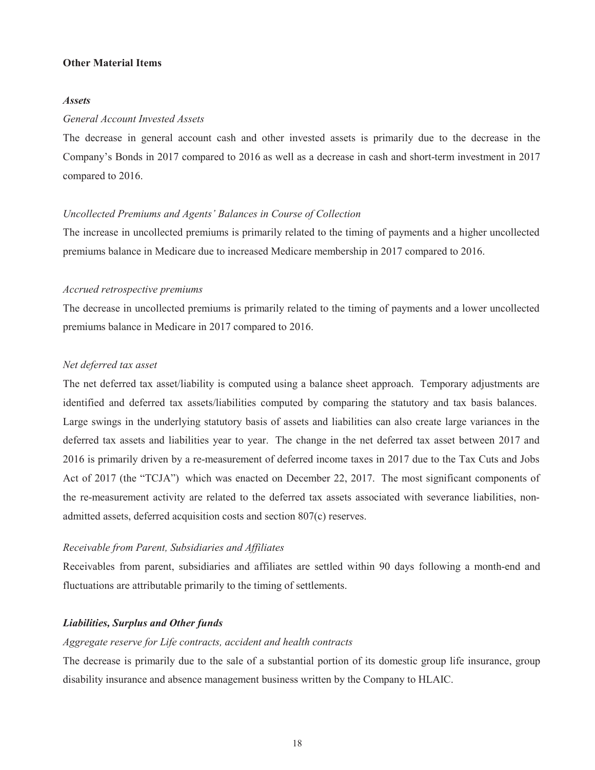#### **Other Material Items**

#### *Assets*

#### *General Account Invested Assets*

The decrease in general account cash and other invested assets is primarily due to the decrease in the Company's Bonds in 2017 compared to 2016 as well as a decrease in cash and short-term investment in 2017 compared to 2016.

# *Uncollected Premiums and Agents' Balances in Course of Collection*

The increase in uncollected premiums is primarily related to the timing of payments and a higher uncollected premiums balance in Medicare due to increased Medicare membership in 2017 compared to 2016.

#### *Accrued retrospective premiums*

The decrease in uncollected premiums is primarily related to the timing of payments and a lower uncollected premiums balance in Medicare in 2017 compared to 2016.

### *Net deferred tax asset*

The net deferred tax asset/liability is computed using a balance sheet approach. Temporary adjustments are identified and deferred tax assets/liabilities computed by comparing the statutory and tax basis balances. Large swings in the underlying statutory basis of assets and liabilities can also create large variances in the deferred tax assets and liabilities year to year. The change in the net deferred tax asset between 2017 and 2016 is primarily driven by a re-measurement of deferred income taxes in 2017 due to the Tax Cuts and Jobs Act of 2017 (the "TCJA") which was enacted on December 22, 2017. The most significant components of the re-measurement activity are related to the deferred tax assets associated with severance liabilities, nonadmitted assets, deferred acquisition costs and section 807(c) reserves.

### *Receivable from Parent, Subsidiaries and Affiliates*

Receivables from parent, subsidiaries and affiliates are settled within 90 days following a month-end and fluctuations are attributable primarily to the timing of settlements.

# *Liabilities, Surplus and Other funds*

## *Aggregate reserve for Life contracts, accident and health contracts*

The decrease is primarily due to the sale of a substantial portion of its domestic group life insurance, group disability insurance and absence management business written by the Company to HLAIC.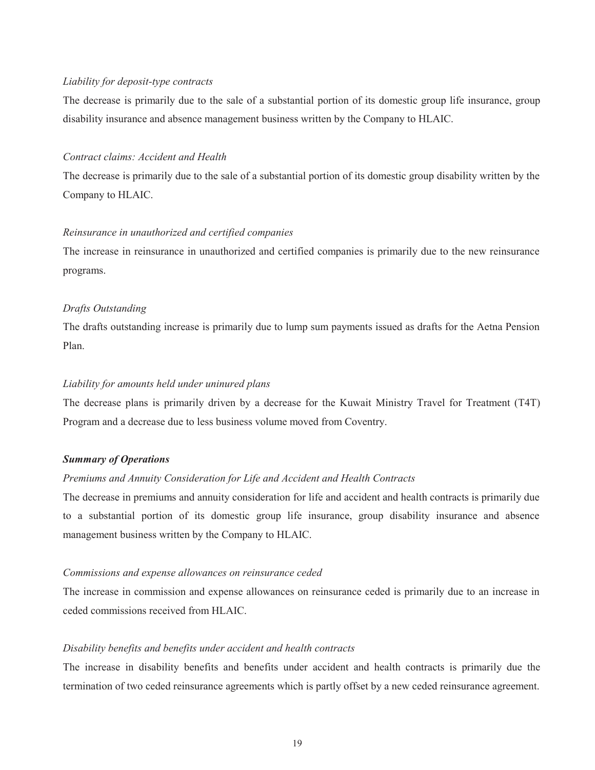### *Liability for deposit-type contracts*

The decrease is primarily due to the sale of a substantial portion of its domestic group life insurance, group disability insurance and absence management business written by the Company to HLAIC.

#### *Contract claims: Accident and Health*

The decrease is primarily due to the sale of a substantial portion of its domestic group disability written by the Company to HLAIC.

### *Reinsurance in unauthorized and certified companies*

The increase in reinsurance in unauthorized and certified companies is primarily due to the new reinsurance programs.

### *Drafts Outstanding*

The drafts outstanding increase is primarily due to lump sum payments issued as drafts for the Aetna Pension Plan.

#### *Liability for amounts held under uninured plans*

The decrease plans is primarily driven by a decrease for the Kuwait Ministry Travel for Treatment (T4T) Program and a decrease due to less business volume moved from Coventry.

# *Summary of Operations*

# *Premiums and Annuity Consideration for Life and Accident and Health Contracts*

The decrease in premiums and annuity consideration for life and accident and health contracts is primarily due to a substantial portion of its domestic group life insurance, group disability insurance and absence management business written by the Company to HLAIC.

#### *Commissions and expense allowances on reinsurance ceded*

The increase in commission and expense allowances on reinsurance ceded is primarily due to an increase in ceded commissions received from HLAIC.

#### *Disability benefits and benefits under accident and health contracts*

The increase in disability benefits and benefits under accident and health contracts is primarily due the termination of two ceded reinsurance agreements which is partly offset by a new ceded reinsurance agreement.